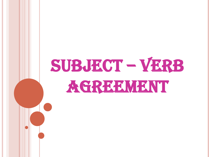# SUBJECT – VERB AGREEMENT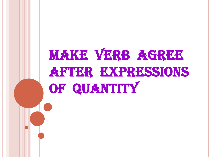# MAKE VERB AGREE **AFTER EXPRESSIONS** OF QUANTITY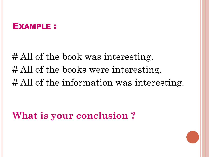# All of the book was interesting. # All of the books were interesting. # All of the information was interesting.

**What is your conclusion ?**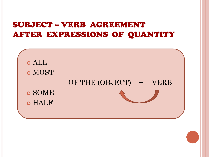### SUBJECT – VERB AGREEMENT AFTER EXPRESSIONS OF QUANTITY

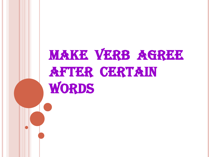# MAKE VERB AGREE **AFTER CERTAIN** WORDS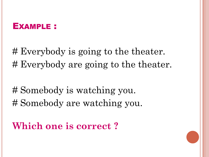# Everybody is going to the theater. # Everybody are going to the theater.

# Somebody is watching you. # Somebody are watching you.

**Which one is correct ?**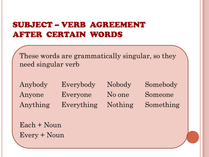### SUBJECT – VERB AGREEMENT AFTER CERTAIN WORDS

These words are grammatically singular, so they need singular verb

Anybody Everybody Nobody Somebody Anyone Everyone No one Someone Anything Everything Nothing Something

Each + Noun Every + Noun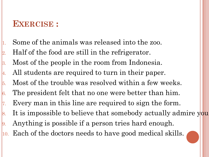### **EXERCISE :**

- Some of the animals was released into the zoo.
- 2. Half of the food are still in the refrigerator.
- 3. Most of the people in the room from Indonesia.
- 4. All students are required to turn in their paper.
- 5. Most of the trouble was resolved within a few weeks.
- 6. The president felt that no one were better than him.
- $\mathbf{z}$ . Every man in this line are required to sign the form.
- 8. It is impossible to believe that somebody actually admire you.
- 9. Anything is possible if a person tries hard enough.
- 10. Each of the doctors needs to have good medical skills.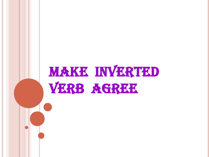# MAKE INVERTED VERB AGREE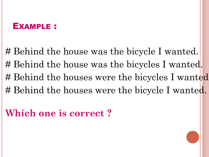# Behind the house was the bicycle I wanted. # Behind the house was the bicycles I wanted. # Behind the houses were the bicycles I wanted. # Behind the houses were the bicycle I wanted.

### **Which one is correct ?**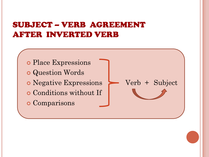### SUBJECT – VERB AGREEMENT AFTER INVERTED VERB

o Place Expressions Question Words • Negative Expressions > Verb + Subject Conditions without If o Comparisons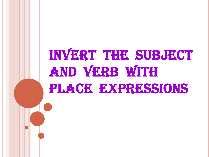### INVERT THE SUBJECT AND VERB WITH PLACE EXPRESSIONS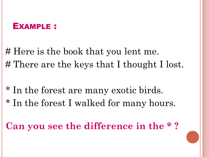# Here is the book that you lent me. # There are the keys that I thought I lost.

- \* In the forest are many exotic birds.
- \* In the forest I walked for many hours.

**Can you see the difference in the \* ?**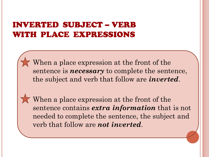### INVERTED SUBJECT – VERB WITH PLACE EXPRESSIONS

When a place expression at the front of the sentence is *necessary* to complete the sentence, the subject and verb that follow are *inverted*.

When a place expression at the front of the sentence contains *extra information* that is not needed to complete the sentence, the subject and verb that follow are *not inverted*.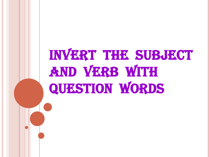## INVERT THE SUBJECT AND VERB WITH QUESTION WORDS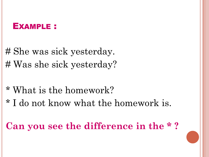# She was sick yesterday. # Was she sick yesterday?

- \* What is the homework?
- \* I do not know what the homework is.

**Can you see the difference in the \* ?**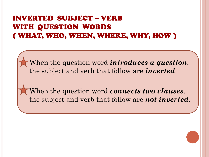### INVERTED SUBJECT – VERB WITH QUESTION WORDS ( WHAT, WHO, WHEN, WHERE, WHY, HOW )

When the question word *introduces a question*, the subject and verb that follow are *inverted*.

When the question word *connects two clauses*, the subject and verb that follow are *not inverted*.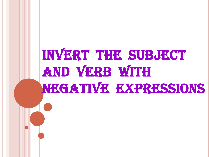# INVERT THE SUBJECT AND VERB WITH NEGATIVE EXPRESSIONS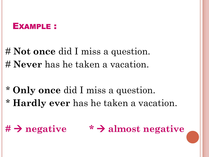# **Not once** did I miss a question. # **Never** has he taken a vacation.

- \* **Only once** did I miss a question.
- \* **Hardly ever** has he taken a vacation.

### **# negative \* almost negative**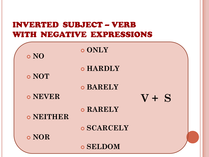### INVERTED SUBJECT – VERB WITH NEGATIVE EXPRESSIONS

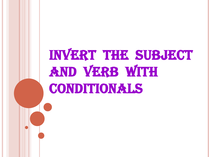## INVERT THE SUBJECT AND VERB WITH CONDITIONALS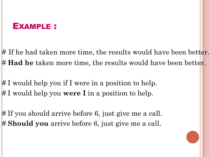# If he had taken more time, the results would have been better. # **Had he** taken more time, the results would have been better.

# I would help you if I were in a position to help. # I would help you **were I** in a position to help.

# If you should arrive before 6, just give me a call. # **Should you** arrive before 6, just give me a call.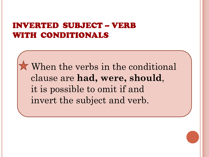### INVERTED SUBJECT – VERB WITH CONDITIONALS

When the verbs in the conditional clause are **had, were, should**, it is possible to omit if and invert the subject and verb.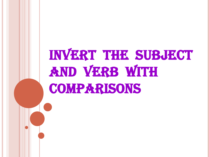## INVERT THE SUBJECT AND VERB WITH **COMPARISONS**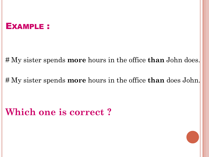# My sister spends **more** hours in the office **than** John does.

# My sister spends **more** hours in the office **than** does John.

### **Which one is correct ?**